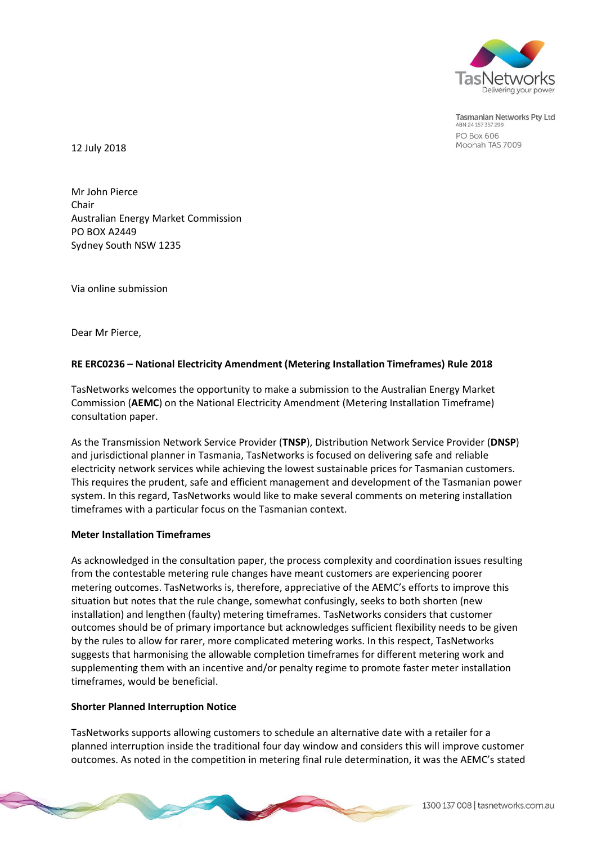

**Tasmanian Networks Pty Ltd** ABN 24 167 357 29 **PO Box 606** Moonah TAS 7009

12 July 2018

Mr John Pierce Chair Australian Energy Market Commission PO BOX A2449 Sydney South NSW 1235

Via online submission

Dear Mr Pierce,

## **RE ERC0236 – National Electricity Amendment (Metering Installation Timeframes) Rule 2018**

TasNetworks welcomes the opportunity to make a submission to the Australian Energy Market Commission (**AEMC**) on the National Electricity Amendment (Metering Installation Timeframe) consultation paper.

As the Transmission Network Service Provider (**TNSP**), Distribution Network Service Provider (**DNSP**) and jurisdictional planner in Tasmania, TasNetworks is focused on delivering safe and reliable electricity network services while achieving the lowest sustainable prices for Tasmanian customers. This requires the prudent, safe and efficient management and development of the Tasmanian power system. In this regard, TasNetworks would like to make several comments on metering installation timeframes with a particular focus on the Tasmanian context.

## **Meter Installation Timeframes**

As acknowledged in the consultation paper, the process complexity and coordination issues resulting from the contestable metering rule changes have meant customers are experiencing poorer metering outcomes. TasNetworks is, therefore, appreciative of the AEMC's efforts to improve this situation but notes that the rule change, somewhat confusingly, seeks to both shorten (new installation) and lengthen (faulty) metering timeframes. TasNetworks considers that customer outcomes should be of primary importance but acknowledges sufficient flexibility needs to be given by the rules to allow for rarer, more complicated metering works. In this respect, TasNetworks suggests that harmonising the allowable completion timeframes for different metering work and supplementing them with an incentive and/or penalty regime to promote faster meter installation timeframes, would be beneficial.

## **Shorter Planned Interruption Notice**

TasNetworks supports allowing customers to schedule an alternative date with a retailer for a planned interruption inside the traditional four day window and considers this will improve customer outcomes. As noted in the competition in metering final rule determination, it was the AEMC's stated